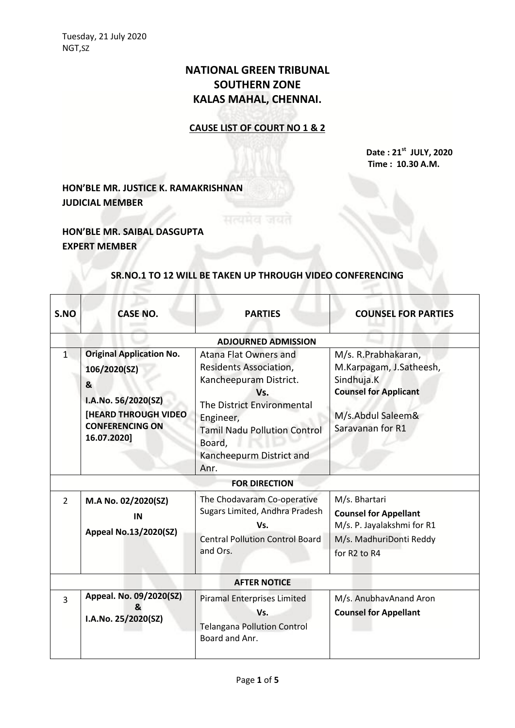# **NATIONAL GREEN TRIBUNAL SOUTHERN ZONE KALAS MAHAL, CHENNAI.**

## **CAUSE LIST OF COURT NO 1 & 2**

**Date : 21st JULY, 2020 Time : 10.30 A.M.**

## **HON'BLE MR. JUSTICE K. RAMAKRISHNAN JUDICIAL MEMBER**

## **HON'BLE MR. SAIBAL DASGUPTA EXPERT MEMBER**

#### **SR.NO.1 TO 12 WILL BE TAKEN UP THROUGH VIDEO CONFERENCING**

| S.NO                | <b>CASE NO.</b>                                                                                                                                     | <b>PARTIES</b>                                                                                                                                                                                           | <b>COUNSEL FOR PARTIES</b>                                                                                                            |  |
|---------------------|-----------------------------------------------------------------------------------------------------------------------------------------------------|----------------------------------------------------------------------------------------------------------------------------------------------------------------------------------------------------------|---------------------------------------------------------------------------------------------------------------------------------------|--|
|                     |                                                                                                                                                     | <b>ADJOURNED ADMISSION</b>                                                                                                                                                                               |                                                                                                                                       |  |
| 1                   | <b>Original Application No.</b><br>106/2020(SZ)<br>&<br>I.A.No. 56/2020(SZ)<br><b>[HEARD THROUGH VIDEO</b><br><b>CONFERENCING ON</b><br>16.07.2020] | Atana Flat Owners and<br>Residents Association,<br>Kancheepuram District.<br>Vs.<br>The District Environmental<br>Engineer,<br><b>Tamil Nadu Pollution Control</b><br>Board,<br>Kancheepurm District and | M/s. R.Prabhakaran,<br>M.Karpagam, J.Satheesh,<br>Sindhuja.K<br><b>Counsel for Applicant</b><br>M/s.Abdul Saleem&<br>Saravanan for R1 |  |
|                     |                                                                                                                                                     | Anr.                                                                                                                                                                                                     |                                                                                                                                       |  |
|                     |                                                                                                                                                     | <b>FOR DIRECTION</b>                                                                                                                                                                                     |                                                                                                                                       |  |
| 2                   | M.A No. 02/2020(SZ)<br>IN<br>Appeal No.13/2020(SZ)                                                                                                  | The Chodavaram Co-operative<br>Sugars Limited, Andhra Pradesh<br>Vs.<br><b>Central Pollution Control Board</b><br>and Ors.                                                                               | M/s. Bhartari<br><b>Counsel for Appellant</b><br>M/s. P. Jayalakshmi for R1<br>M/s. MadhuriDonti Reddy<br>for R2 to R4                |  |
| <b>AFTER NOTICE</b> |                                                                                                                                                     |                                                                                                                                                                                                          |                                                                                                                                       |  |
| $\mathbf{R}$        | Appeal. No. 09/2020(SZ)<br>&<br>I.A.No. 25/2020(SZ)                                                                                                 | <b>Piramal Enterprises Limited</b><br>Vs.<br><b>Telangana Pollution Control</b><br>Board and Anr.                                                                                                        | M/s. AnubhavAnand Aron<br><b>Counsel for Appellant</b>                                                                                |  |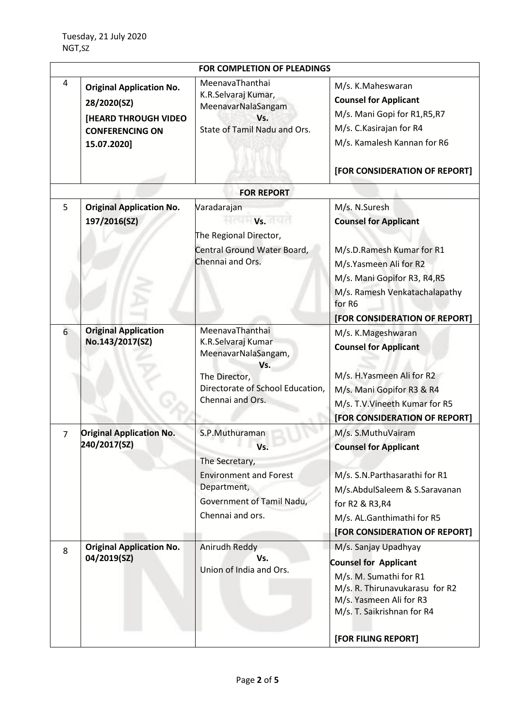| <b>FOR COMPLETION OF PLEADINGS</b> |                                                                                                                        |                                                                                                                                              |                                                                                                                                                                                                                  |
|------------------------------------|------------------------------------------------------------------------------------------------------------------------|----------------------------------------------------------------------------------------------------------------------------------------------|------------------------------------------------------------------------------------------------------------------------------------------------------------------------------------------------------------------|
| 4                                  | <b>Original Application No.</b><br>28/2020(SZ)<br><b>[HEARD THROUGH VIDEO</b><br><b>CONFERENCING ON</b><br>15.07.2020] | MeenavaThanthai<br>K.R.Selvaraj Kumar,<br>MeenavarNalaSangam<br>Vs.<br>State of Tamil Nadu and Ors.                                          | M/s. K.Maheswaran<br><b>Counsel for Applicant</b><br>M/s. Mani Gopi for R1, R5, R7<br>M/s. C. Kasirajan for R4<br>M/s. Kamalesh Kannan for R6<br>[FOR CONSIDERATION OF REPORT]                                   |
|                                    |                                                                                                                        | <b>FOR REPORT</b>                                                                                                                            |                                                                                                                                                                                                                  |
| 5                                  | <b>Original Application No.</b><br>197/2016(SZ)                                                                        | Varadarajan<br>Vs.<br>The Regional Director,<br>Central Ground Water Board,<br>Chennai and Ors.                                              | M/s. N.Suresh<br><b>Counsel for Applicant</b><br>M/s.D.Ramesh Kumar for R1<br>M/s.Yasmeen Ali for R2<br>M/s. Mani Gopifor R3, R4, R5<br>M/s. Ramesh Venkatachalapathy<br>for R6<br>[FOR CONSIDERATION OF REPORT] |
| 6                                  | <b>Original Application</b><br>No.143/2017(SZ)                                                                         | MeenavaThanthai<br>K.R.Selvaraj Kumar<br>MeenavarNalaSangam,<br>Vs.<br>The Director,<br>Directorate of School Education,<br>Chennai and Ors. | M/s. K.Mageshwaran<br><b>Counsel for Applicant</b><br>M/s. H.Yasmeen Ali for R2<br>M/s. Mani Gopifor R3 & R4<br>M/s. T.V. Vineeth Kumar for R5<br>[FOR CONSIDERATION OF REPORT]                                  |
| $\overline{7}$                     | <b>Original Application No.</b><br>240/2017(SZ)                                                                        | S.P.Muthuraman<br>Vs.<br>The Secretary,<br><b>Environment and Forest</b><br>Department,<br>Government of Tamil Nadu,<br>Chennai and ors.     | M/s. S.MuthuVairam<br><b>Counsel for Applicant</b><br>M/s. S.N.Parthasarathi for R1<br>M/s.AbdulSaleem & S.Saravanan<br>for R2 & R3, R4<br>M/s. AL.Ganthimathi for R5<br>[FOR CONSIDERATION OF REPORT]           |
| 8                                  | <b>Original Application No.</b><br>04/2019(SZ)                                                                         | Anirudh Reddy<br>Vs.<br>Union of India and Ors.                                                                                              | M/s. Sanjay Upadhyay<br><b>Counsel for Applicant</b><br>M/s. M. Sumathi for R1<br>M/s. R. Thirunavukarasu for R2<br>M/s. Yasmeen Ali for R3<br>M/s. T. Saikrishnan for R4<br>[FOR FILING REPORT]                 |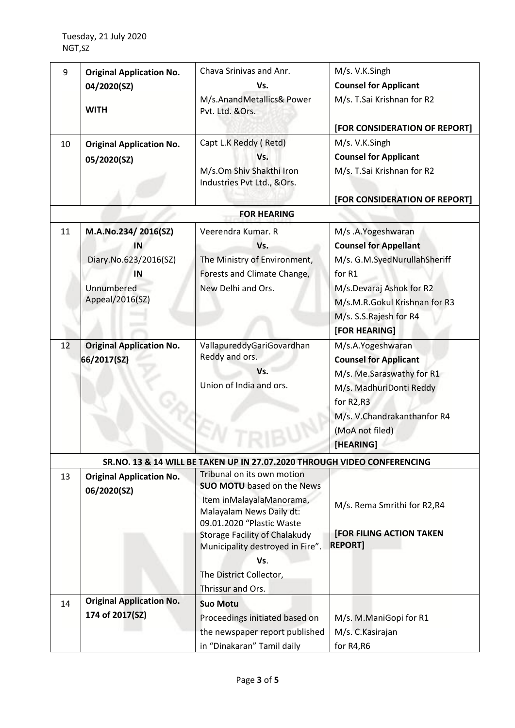| 9<br>10  | <b>Original Application No.</b><br>04/2020(SZ)<br><b>WITH</b><br><b>Original Application No.</b><br>05/2020(SZ)                             | Chava Srinivas and Anr.<br>Vs.<br>M/s.AnandMetallics& Power<br>Pvt. Ltd. &Ors.<br>Capt L.K Reddy (Retd)<br>Vs.<br>M/s.Om Shiv Shakthi Iron<br>Industries Pvt Ltd., &Ors.                           | M/s. V.K.Singh<br><b>Counsel for Applicant</b><br>M/s. T.Sai Krishnan for R2<br>[FOR CONSIDERATION OF REPORT]<br>M/s. V.K.Singh<br><b>Counsel for Applicant</b><br>M/s. T.Sai Krishnan for R2<br>[FOR CONSIDERATION OF REPORT]                                                         |
|----------|---------------------------------------------------------------------------------------------------------------------------------------------|----------------------------------------------------------------------------------------------------------------------------------------------------------------------------------------------------|----------------------------------------------------------------------------------------------------------------------------------------------------------------------------------------------------------------------------------------------------------------------------------------|
|          |                                                                                                                                             | <b>FOR HEARING</b>                                                                                                                                                                                 |                                                                                                                                                                                                                                                                                        |
| 11<br>12 | M.A.No.234/2016(SZ)<br>IN<br>Diary.No.623/2016(SZ)<br>IN<br>Unnumbered<br>Appeal/2016(SZ)<br><b>Original Application No.</b><br>66/2017(SZ) | Veerendra Kumar. R<br>Vs.<br>The Ministry of Environment,<br>Forests and Climate Change,<br>New Delhi and Ors.<br>VallapureddyGariGovardhan<br>Reddy and ors.<br>Vs.<br>Union of India and ors.    | M/s .A.Yogeshwaran<br><b>Counsel for Appellant</b><br>M/s. G.M.SyedNurullahSheriff<br>for R1<br>M/s.Devaraj Ashok for R2<br>M/s.M.R.Gokul Krishnan for R3<br>M/s. S.S.Rajesh for R4<br>[FOR HEARING]<br>M/s.A.Yogeshwaran<br><b>Counsel for Applicant</b><br>M/s. Me.Saraswathy for R1 |
|          |                                                                                                                                             |                                                                                                                                                                                                    | M/s. MadhuriDonti Reddy<br>for R <sub>2</sub> ,R <sub>3</sub><br>M/s. V.Chandrakanthanfor R4<br>(MoA not filed)<br>[HEARING]                                                                                                                                                           |
|          |                                                                                                                                             | SR.NO. 13 & 14 WILL BE TAKEN UP IN 27.07.2020 THROUGH VIDEO CONFERENCING<br>Tribunal on its own motion                                                                                             |                                                                                                                                                                                                                                                                                        |
| 13       | <b>Original Application No.</b><br>06/2020(SZ)                                                                                              | <b>SUO MOTU</b> based on the News<br>Item inMalayalaManorama,<br>Malayalam News Daily dt:<br>09.01.2020 "Plastic Waste<br><b>Storage Facility of Chalakudy</b><br>Municipality destroyed in Fire". | M/s. Rema Smrithi for R2,R4<br><b>[FOR FILING ACTION TAKEN</b><br><b>REPORT]</b>                                                                                                                                                                                                       |
|          |                                                                                                                                             | Vs.<br>The District Collector,<br>Thrissur and Ors.                                                                                                                                                |                                                                                                                                                                                                                                                                                        |
| 14       | <b>Original Application No.</b><br>174 of 2017(SZ)                                                                                          | <b>Suo Motu</b><br>Proceedings initiated based on<br>the newspaper report published<br>in "Dinakaran" Tamil daily                                                                                  | M/s. M.ManiGopi for R1<br>M/s. C. Kasirajan<br>for R4,R6                                                                                                                                                                                                                               |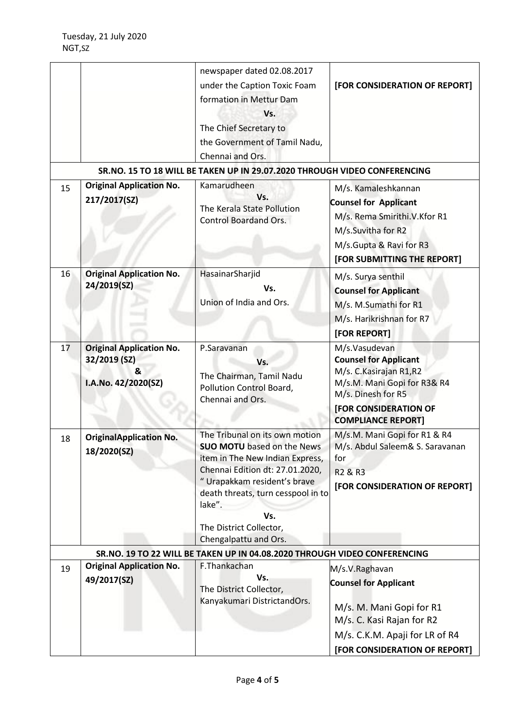|    |                                                                             | newspaper dated 02.08.2017<br>under the Caption Toxic Foam<br>formation in Mettur Dam<br>Vs.<br>The Chief Secretary to<br>the Government of Tamil Nadu,<br>Chennai and Ors.<br>SR.NO. 15 TO 18 WILL BE TAKEN UP IN 29.07.2020 THROUGH VIDEO CONFERENCING                             | [FOR CONSIDERATION OF REPORT]                                                                                                                                                        |
|----|-----------------------------------------------------------------------------|--------------------------------------------------------------------------------------------------------------------------------------------------------------------------------------------------------------------------------------------------------------------------------------|--------------------------------------------------------------------------------------------------------------------------------------------------------------------------------------|
| 15 | <b>Original Application No.</b><br>217/2017(SZ)                             | Kamarudheen<br>Vs.<br>The Kerala State Pollution<br><b>Control Boardand Ors.</b>                                                                                                                                                                                                     | M/s. Kamaleshkannan<br><b>Counsel for Applicant</b><br>M/s. Rema Smirithi.V.Kfor R1<br>M/s.Suvitha for R2<br>M/s.Gupta & Ravi for R3<br>[FOR SUBMITTING THE REPORT]                  |
| 16 | <b>Original Application No.</b><br>24/2019(SZ)                              | HasainarSharjid<br>Vs.<br>Union of India and Ors.                                                                                                                                                                                                                                    | M/s. Surya senthil<br><b>Counsel for Applicant</b><br>M/s. M.Sumathi for R1<br>M/s. Harikrishnan for R7<br>[FOR REPORT]                                                              |
| 17 | <b>Original Application No.</b><br>32/2019 (SZ)<br>&<br>I.A.No. 42/2020(SZ) | P.Saravanan<br>Vs.<br>The Chairman, Tamil Nadu<br>Pollution Control Board,<br>Chennai and Ors.                                                                                                                                                                                       | M/s.Vasudevan<br><b>Counsel for Applicant</b><br>M/s. C. Kasirajan R1, R2<br>M/s.M. Mani Gopi for R3& R4<br>M/s. Dinesh for R5<br>[FOR CONSIDERATION OF<br><b>COMPLIANCE REPORT]</b> |
| 18 | <b>OriginalApplication No.</b><br>18/2020(SZ)                               | The Tribunal on its own motion<br><b>SUO MOTU</b> based on the News<br>item in The New Indian Express,<br>Chennai Edition dt: 27.01.2020,<br>" Urapakkam resident's brave<br>death threats, turn cesspool in to<br>lake".<br>Vs.<br>The District Collector,<br>Chengalpattu and Ors. | M/s.M. Mani Gopi for R1 & R4<br>M/s. Abdul Saleem& S. Saravanan<br>for<br>R <sub>2</sub> & R <sub>3</sub><br>[FOR CONSIDERATION OF REPORT]                                           |
|    |                                                                             | SR.NO. 19 TO 22 WILL BE TAKEN UP IN 04.08.2020 THROUGH VIDEO CONFERENCING                                                                                                                                                                                                            |                                                                                                                                                                                      |
| 19 | <b>Original Application No.</b><br>49/2017(SZ)                              | F.Thankachan<br>Vs.<br>The District Collector,<br>Kanyakumari DistrictandOrs.                                                                                                                                                                                                        | M/s.V.Raghavan<br><b>Counsel for Applicant</b><br>M/s. M. Mani Gopi for R1<br>M/s. C. Kasi Rajan for R2<br>M/s. C.K.M. Apaji for LR of R4<br>[FOR CONSIDERATION OF REPORT]           |